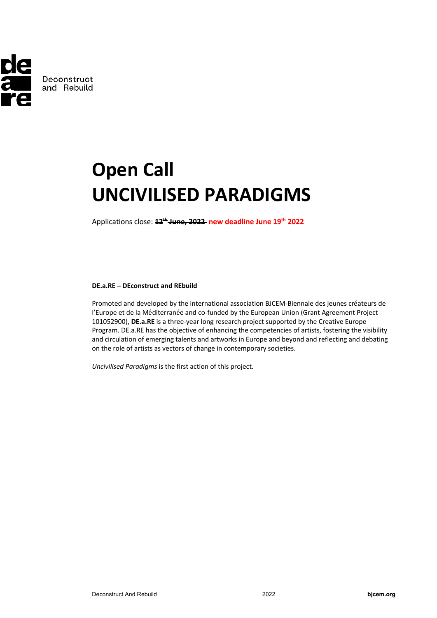

# **Open Call UNCIVILISED PARADIGMS**

Applications close: **12th June, 2022 new deadline June 19th 2022**

## **DE.a.RE – DEconstruct and REbuild**

Promoted and developed by the international association BJCEM-Biennale des jeunes créateurs de l'Europe et de la Méditerranée and co-funded by the European Union (Grant Agreement Project 101052900), **DE.a.RE** is a three-year long research project supported by the Creative Europe Program. DE.a.RE has the objective of enhancing the competencies of artists, fostering the visibility and circulation of emerging talents and artworks in Europe and beyond and reflecting and debating on the role of artists as vectors of change in contemporary societies.

*Uncivilised Paradigms* is the first action of this project.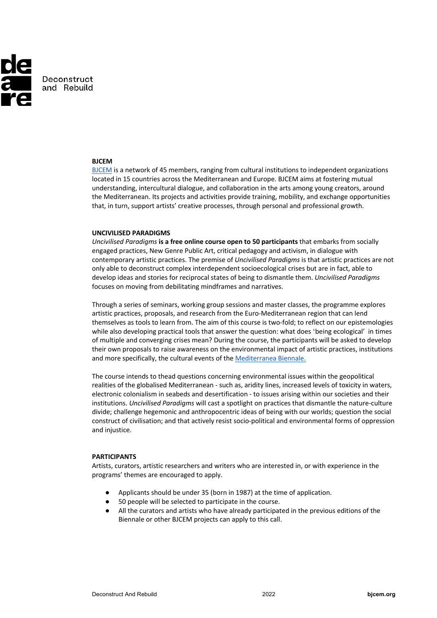

## **BJCEM**

BJCEM is a network of 45 members, ranging from cultural institutions to independent organizations located in 15 countries across the Mediterranean and Europe. BJCEM aims at fostering mutual understanding, intercultural dialogue, and collaboration in the arts among young creators, around the Mediterranean. Its projects and activities provide training, mobility, and exchange opportunities that, in turn, support artists' creative processes, through personal and professional growth.

#### **UNCIVILISED PARADIGMS**

*Uncivilised Paradigms* **is a free online course open to 50 participants** that embarks from socially engaged practices, New Genre Public Art, critical pedagogy and activism, in dialogue with contemporary artistic practices. The premise of *Uncivilised Paradigms* is that artistic practices are not only able to deconstruct complex interdependent socioecological crises but are in fact, able to develop ideas and stories for reciprocal states of being to dismantle them. *Uncivilised Paradigms* focuses on moving from debilitating mindframes and narratives.

Through a series of seminars, working group sessions and master classes, the programme explores artistic practices, proposals, and research from the Euro-Mediterranean region that can lend themselves as tools to learn from. The aim of this course is two-fold; to reflect on our epistemologies while also developing practical tools that answer the question: what does 'being ecological' in times of multiple and converging crises mean? During the course, the participants will be asked to develop their own proposals to raise awareness on the environmental impact of artistic practices, institutions and more specifically, the cultural events of the Mediterranea Biennale.

The course intends to thead questions concerning environmental issues within the geopolitical realities of the globalised Mediterranean - such as, aridity lines, increased levels of toxicity in waters, electronic colonialism in seabeds and desertification - to issues arising within our societies and their institutions. *Uncivilised Paradigms* will cast a spotlight on practices that dismantle the nature-culture divide; challenge hegemonic and anthropocentric ideas of being with our worlds; question the social construct of civilisation; and that actively resist socio-political and environmental forms of oppression and injustice.

#### **PARTICIPANTS**

Artists, curators, artistic researchers and writers who are interested in, or with experience in the programs' themes are encouraged to apply.

- Applicants should be under 35 (born in 1987) at the time of application.
- 50 people will be selected to participate in the course.
- All the curators and artists who have already participated in the previous editions of the Biennale or other BJCEM projects can apply to this call.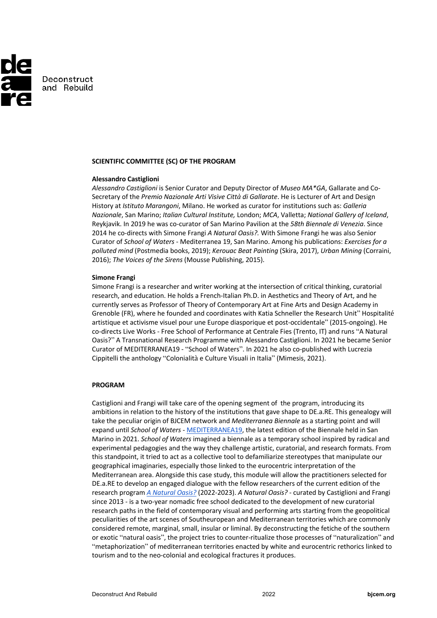

## **SCIENTIFIC COMMITTEE (SC) OF THE PROGRAM**

## **Alessandro Castiglioni**

*Alessandro Castiglioni* is Senior Curator and Deputy Director of *Museo MA\*GA*, Gallarate and Co-Secretary of the *Premio Nazionale Arti Visive Città di Gallarate*. He is Lecturer of Art and Design History at *Istituto Marangoni*, Milano. He worked as curator for institutions such as: *Galleria Nazionale*, San Marino; *Italian Cultural Institute,* London; *MCA*, Valletta; *National Gallery of Iceland*, Reykjavik. In 2019 he was co-curator of San Marino Pavilion at the *58th Biennale di Venezia*. Since 2014 he co-directs with Simone Frangi *A Natural Oasis?.* With Simone Frangi he was also Senior Curator of *School of Waters* - Mediterranea 19, San Marino. Among his publications: *Exercises for a polluted mind* (Postmedia books, 2019); *Kerouac Beat Painting* (Skira, 2017), *Urban Mining* (Corraini, 2016); *The Voices of the Sirens* (Mousse Publishing, 2015).

#### **Simone Frangi**

Simone Frangi is a researcher and writer working at the intersection of critical thinking, curatorial research, and education. He holds a French-Italian Ph.D. in Aesthetics and Theory of Art, and he currently serves as Professor of Theory of Contemporary Art at Fine Arts and Design Academy in Grenoble (FR), where he founded and coordinates with Katia Schneller the Research Unit" Hospitalité artistique et activisme visuel pour une Europe diasporique et post-occidentale" (2015-ongoing). He co-directs Live Works - Free School of Performance at Centrale Fies (Trento, IT) and runs "A Natural Oasis?" A Transnational Research Programme with Alessandro Castiglioni. In 2021 he became Senior Curator of MEDITERRANEA19 - "School of Waters". In 2021 he also co-published with Lucrezia Cippitelli the anthology "Colonialità e Culture Visuali in Italia" (Mimesis, 2021).

### **PROGRAM**

Castiglioni and Frangi will take care of the opening segment of the program, introducing its ambitions in relation to the history of the institutions that gave shape to DE.a.RE. This genealogy will take the peculiar origin of BJCEM network and *Mediterranea Biennale* as a starting point and will expand until *School of Waters -* MEDITERRANEA19, the latest edition of the Biennale held in San Marino in 2021. *School of Waters* imagined a biennale as a temporary school inspired by radical and experimental pedagogies and the way they challenge artistic, curatorial, and research formats. From this standpoint, it tried to act as a collective tool to defamiliarize stereotypes that manipulate our geographical imaginaries, especially those linked to the eurocentric interpretation of the Mediterranean area. Alongside this case study, this module will allow the practitioners selected for DE.a.RE to develop an engaged dialogue with the fellow researchers of the current edition of the research program *A Natural Oasis?* (2022-2023). *A Natural Oasis? -* curated by Castiglioni and Frangi since 2013 - is a two-year nomadic free school dedicated to the development of new curatorial research paths in the field of contemporary visual and performing arts starting from the geopolitical peculiarities of the art scenes of Southeuropean and Mediterranean territories which are commonly considered remote, marginal, small, insular or liminal. By deconstructing the fetiche of the southern or exotic "natural oasis", the project tries to counter-ritualize those processes of "naturalization" and "metaphorization" of mediterranean territories enacted by white and eurocentric rethorics linked to tourism and to the neo-colonial and ecological fractures it produces.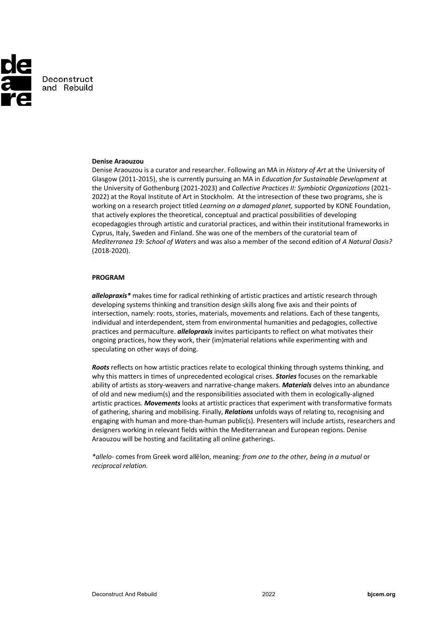

## **Denise Araouzou**

Denise Araouzou is a curator and researcher. Following an MA in *History of Art* at the University of Glasgow (2011-2015), she is currently pursuing an MA in *Education for Sustainable Development* at the University of Gothenburg (2021-2023) and *Collective Practices II: Symbiotic Organizations* (2021- 2022) at the Royal Institute of Art in Stockholm. At the intresection of these two programs, she is working on a research project titled *Learning on a damaged planet,* supported by KONE Foundation, that actively explores the theoretical, conceptual and practical possibilities of developing ecopedagogies through artistic and curatorial practices, and within their institutional frameworks in Cyprus, Italy, Sweden and Finland. She was one of the members of the curatorial team of *Mediterranea 19: School of Waters* and was also a member of the second edition of *A Natural Oasis?* (2018-2020).

#### **PROGRAM**

*allelopraxis\** makes time for radical rethinking of artistic practices and artistic research through developing systems thinking and transition design skills along five axis and their points of intersection, namely: roots, stories, materials, movements and relations. Each of these tangents, individual and interdependent, stem from environmental humanities and pedagogies, collective practices and permaculture. *allelopraxis* invites participants to reflect on what motivates their ongoing practices, how they work, their (im)material relations while experimenting with and speculating on other ways of doing.

*Roots* reflects on how artistic practices relate to ecological thinking through systems thinking, and why this matters in times of unprecedented ecological crises. *Stories* focuses on the remarkable ability of artists as story-weavers and narrative-change makers. *Materials* delves into an abundance of old and new medium(s) and the responsibilities associated with them in ecologically-aligned artistic practices. *Movements* looks at artistic practices that experiment with transformative formats of gathering, sharing and mobilising. Finally, *Relations* unfolds ways of relating to, recognising and engaging with human and more-than-human public(s). Presenters will include artists, researchers and designers working in relevant fields within the Mediterranean and European regions. Denise Araouzou will be hosting and facilitating all online gatherings.

*\*allelo-* comes from Greek word allēlon, meaning: *from one to the other, being in a mutual* or *reciprocal relation.*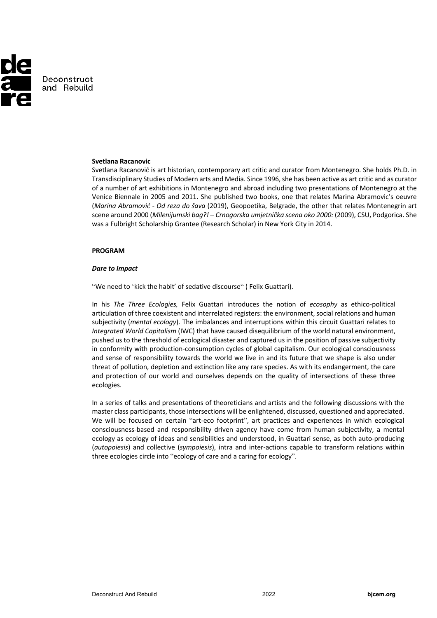

## **Svetlana Racanovic**

Svetlana Racanović is art historian, contemporary art critic and curator from Montenegro. She holds Ph.D. in Transdisciplinary Studies of Modern arts and Media. Since 1996, she has been active as art critic and as curator of a number of art exhibitions in Montenegro and abroad including two presentations of Montenegro at the Venice Biennale in 2005 and 2011. She published two books, one that relates Marina Abramovic's oeuvre (*Marina Abramović - Od reza do šava* (2019), Geopoetika, Belgrade, the other that relates Montenegrin art scene around 2000 (*Milenijumski bag?! – Crnogorska umjetnička scena oko 2000:* (2009), CSU, Podgorica. She was a Fulbright Scholarship Grantee (Research Scholar) in New York City in 2014.

#### **PROGRAM**

#### *Dare to Impact*

"We need to 'kick the habit' of sedative discourse" ( Felix Guattari).

In his *The Three Ecologies,* Felix Guattari introduces the notion of *ecosophy* as ethico-political articulation of three coexistent and interrelated registers: the environment, social relations and human subjectivity (*mental ecology*). The imbalances and interruptions within this circuit Guattari relates to *Integrated World Capitalism* (IWC) that have caused disequilibrium of the world natural environment, pushed us to the threshold of ecological disaster and captured us in the position of passive subjectivity in conformity with production-consumption cycles of global capitalism. Our ecological consciousness and sense of responsibility towards the world we live in and its future that we shape is also under threat of pollution, depletion and extinction like any rare species. As with its endangerment, the care and protection of our world and ourselves depends on the quality of intersections of these three ecologies.

In a series of talks and presentations of theoreticians and artists and the following discussions with the master class participants, those intersections will be enlightened, discussed, questioned and appreciated. We will be focused on certain "art-eco footprint", art practices and experiences in which ecological consciousness-based and responsibility driven agency have come from human subjectivity, a mental ecology as ecology of ideas and sensibilities and understood, in Guattari sense, as both auto-producing (*autopoiesis*) and collective (*sympoiesis*), intra and inter-actions capable to transform relations within three ecologies circle into "ecology of care and a caring for ecology".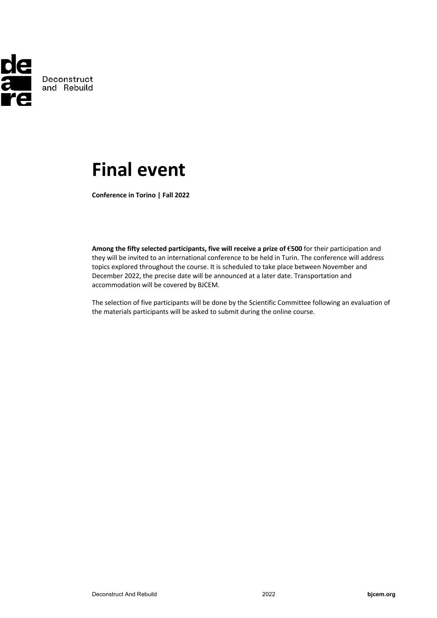

# **Final event**

**Conference in Torino | Fall 2022**

**Among the fifty selected participants, five will receive a prize of €500** for their participation and they will be invited to an international conference to be held in Turin. The conference will address topics explored throughout the course. It is scheduled to take place between November and December 2022, the precise date will be announced at a later date. Transportation and accommodation will be covered by BJCEM.

The selection of five participants will be done by the Scientific Committee following an evaluation of the materials participants will be asked to submit during the online course.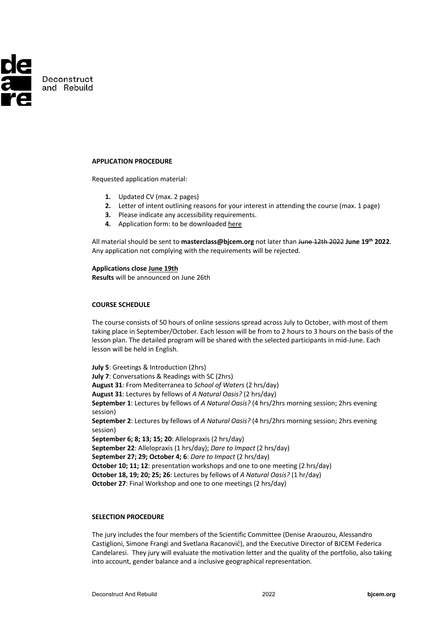

## **APPLICATION PROCEDURE**

Requested application material:

- **1.** Updated CV (max. 2 pages)
- **2.** Letter of intent outlining reasons for your interest in attending the course (max. 1 page)
- **3.** Please indicate any accessibility requirements.
- **4.** Application form: to be downloaded here

All material should be sent to **masterclass@bjcem.org** not later than June 12th 2022 **June 19th 2022**. Any application not complying with the requirements will be rejected.

**Applications close June 19th**

**Results** will be announced on June 26th

# **COURSE SCHEDULE**

The course consists of 50 hours of online sessions spread across July to October, with most of them taking place in September/October. Each lesson will be from to 2 hours to 3 hours on the basis of the lesson plan. The detailed program will be shared with the selected participants in mid-June. Each lesson will be held in English.

**July 5**: Greetings & Introduction (2hrs) **July 7**: Conversations & Readings with SC (2hrs) **August 31**: From Mediterranea to *School of Waters* (2 hrs/day) **August 31**: Lectures by fellows of *A Natural Oasis?* (2 hrs/day) **September 1**: Lectures by fellows of *A Natural Oasis?* (4 hrs/2hrs morning session; 2hrs evening session) **September 2**: Lectures by fellows of *A Natural Oasis?* (4 hrs/2hrs morning session; 2hrs evening session) **September 6; 8; 13; 15; 20**: Allelopraxis (2 hrs/day) **September 22**: Allelopraxis (1 hrs/day); *Dare to Impact* (2 hrs/day) **September 27; 29; October 4; 6**: *Dare to Impact* (2 hrs/day) **October 10; 11; 12**: presentation workshops and one to one meeting (2 hrs/day) **October 18, 19; 20; 25; 26**: Lectures by fellows of *A Natural Oasis?* (1 hr/day) **October 27:** Final Workshop and one to one meetings (2 hrs/day)

# **SELECTION PROCEDURE**

The jury includes the four members of the Scientific Committee (Denise Araouzou, Alessandro Castiglioni, Simone Frangi and Svetlana Racanović), and the Executive Director of BJCEM Federica Candelaresi. They jury will evaluate the motivation letter and the quality of the portfolio, also taking into account, gender balance and a inclusive geographical representation.